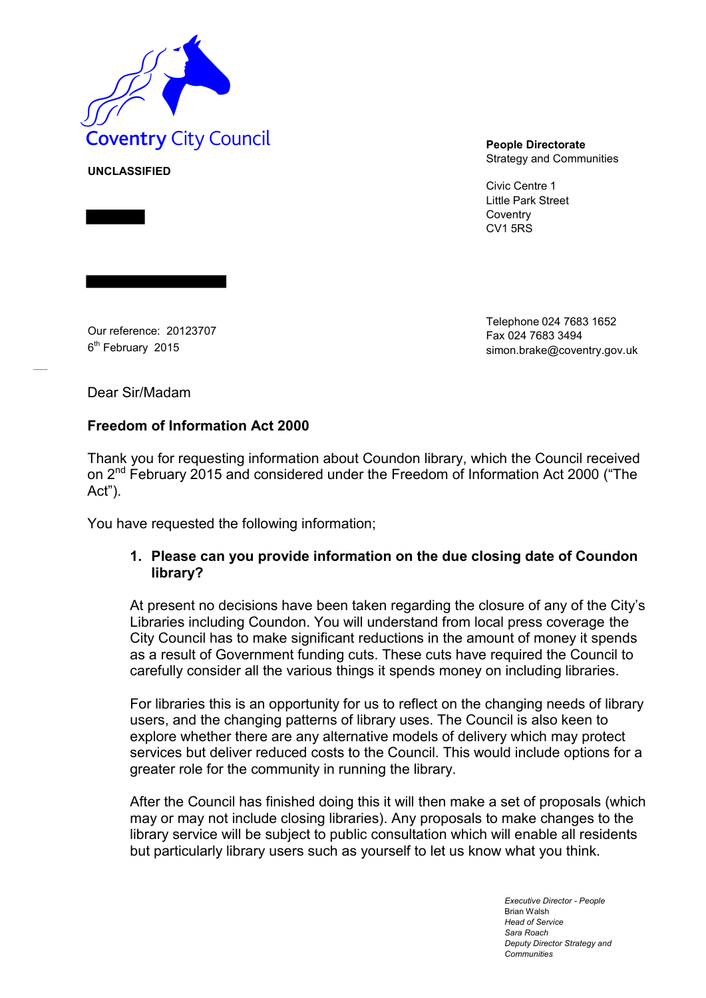

Strategy and Communities

Civic Centre 1 Little Park Street **Coventry** CV1 5RS

Our reference: 20123707 6<sup>th</sup> February 2015

Telephone 024 7683 1652 Fax 024 7683 349[4](mailto:simon.brake@coventry.gov.uk) [simon.brake@coventry.gov.uk](mailto:simon.brake@coventry.gov.uk)

Dear Sir/Madam

**UNCLASSIFIED**

## **Freedom of Information Act 2000**

Thank you for requesting information about Coundon library, which the Council received on 2<sup>nd</sup> February 2015 and considered under the Freedom of Information Act 2000 ("The Act").

You have requested the following information;

## **1. Please can you provide information on the due closing date of Coundon library?**

At present no decisions have been taken regarding the closure of any of the City's Libraries including Coundon. You will understand from local press coverage the City Council has to make significant reductions in the amount of money it spends as a result of Government funding cuts. These cuts have required the Council to carefully consider all the various things it spends money on including libraries.

For libraries this is an opportunity for us to reflect on the changing needs of library users, and the changing patterns of library uses. The Council is also keen to explore whether there are any alternative models of delivery which may protect services but deliver reduced costs to the Council. This would include options for a greater role for the community in running the library.

After the Council has finished doing this it will then make a set of proposals (which may or may not include closing libraries). Any proposals to make changes to the library service will be subject to public consultation which will enable all residents but particularly library users such as yourself to let us know what you think.

> *Executive Director - People* Brian Walsh *Head of Service Sara Roach Deputy Director Strategy and Communities*